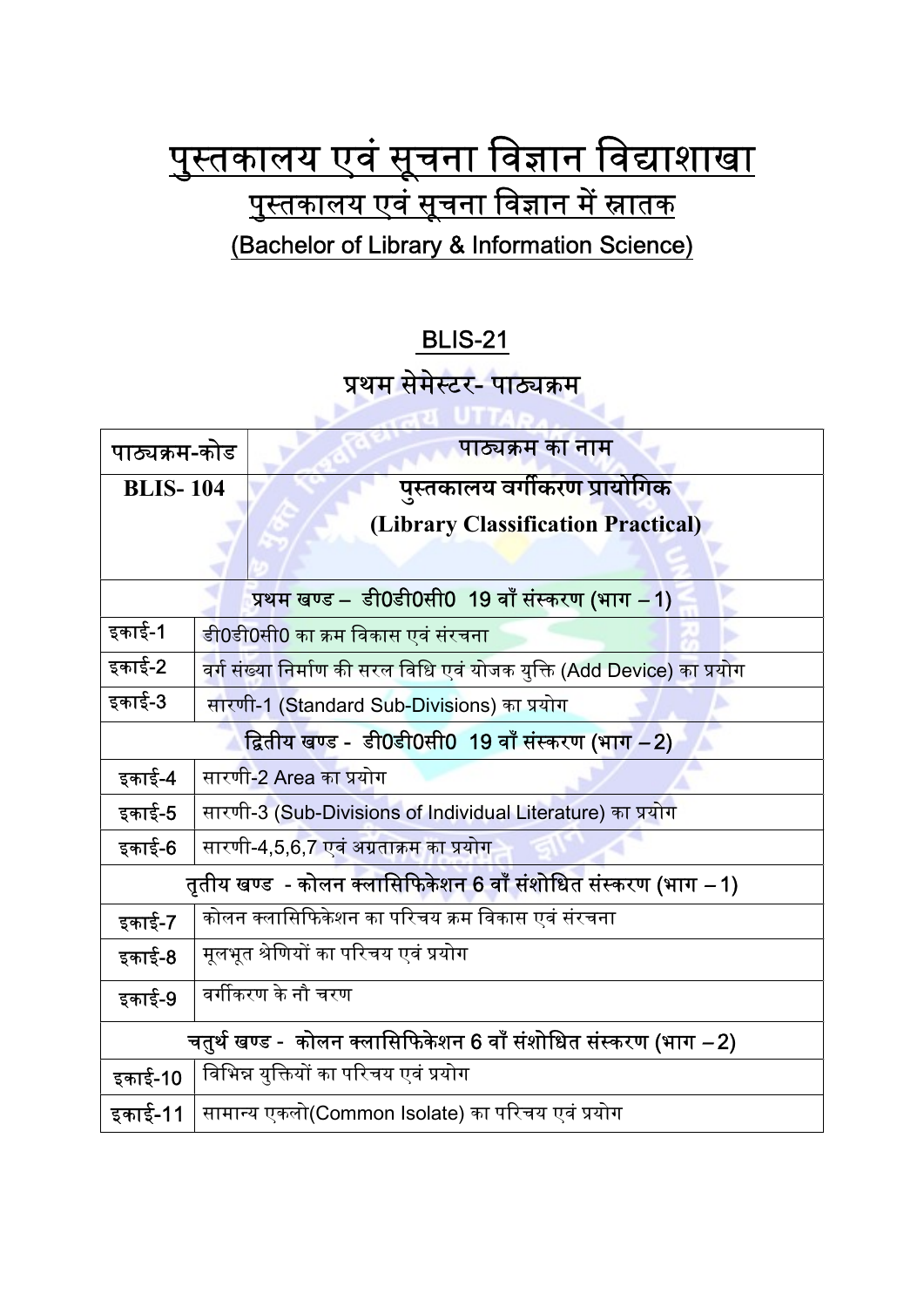## <u>पुस्तकालय एवं सूचना विज्ञान विद्याशाखा</u> <u>पुस्तकालय एवं सूचना विज्ञान में स्नातक</u> (Bachelor of Library & Information Science)

## BLIS-21

## <u>प्रथम सेमेस्टर- पाठ्यक्रम</u>

| पाठ्यक्रम-कोड                                                   |                                                                        | पाठ्यक्रम का नाम                                 |  |
|-----------------------------------------------------------------|------------------------------------------------------------------------|--------------------------------------------------|--|
| <b>BLIS-104</b>                                                 |                                                                        | पुस्तकालय वर्गीकरण प्रायोगिक                     |  |
|                                                                 |                                                                        | (Library Classification Practical)               |  |
|                                                                 |                                                                        |                                                  |  |
|                                                                 |                                                                        |                                                  |  |
| प्रथम खण्ड – डी0डी0सी0 19 वाँ संस्करण (भाग –1)                  |                                                                        |                                                  |  |
| इकाई-1                                                          | डी0डी0सी0 का क्रम विकास एवं संरचना                                     |                                                  |  |
| इकाई-2                                                          | वर्ग संख्या निर्माण की सरल विधि एवं योजक युक्ति (Add Device) का प्रयोग |                                                  |  |
| इकाई-3                                                          | सारणी-1 (Standard Sub-Divisions) का प्रयोग                             |                                                  |  |
| द्वितीय खण्ड -  डी0डी0सी0  19 वाँ संस्करण (भाग –2)              |                                                                        |                                                  |  |
| इकाई-4                                                          |                                                                        | सारणी-2 Area का प्रयोग                           |  |
| इकाई-5                                                          | सारणी-3 (Sub-Divisions of Individual Literature) का प्रयोग             |                                                  |  |
| इकाई-6                                                          | सारणी-4,5,6,7 एवं अग्रताक्रम का प्रयोग                                 |                                                  |  |
| तृतीय खण्ड  - कोलन क्लासिफिकेशन 6 वाँ संशोधित संस्करण (भाग –1)  |                                                                        |                                                  |  |
| इकाई-7                                                          |                                                                        | कोलन क्लासिफिकेशन का परिचय क्रम विकास एवं संरचना |  |
| इकाई-8                                                          |                                                                        | मूलभूत श्रेणियों का परिचय एवं प्रयोग             |  |
| इकाई-9                                                          | वर्गीकरण के नौ चरण                                                     |                                                  |  |
| चतुर्थ खण्ड -  कोलन क्लासिफिकेशन 6 वाँ संशोधित संस्करण (भाग –2) |                                                                        |                                                  |  |
| इकाई-10                                                         |                                                                        | विभिन्न युक्तियों का परिचय एवं प्रयोग            |  |
| इकाई-11                                                         |                                                                        | सामान्य एकलो(Common Isolate) का परिचय एवं प्रयोग |  |